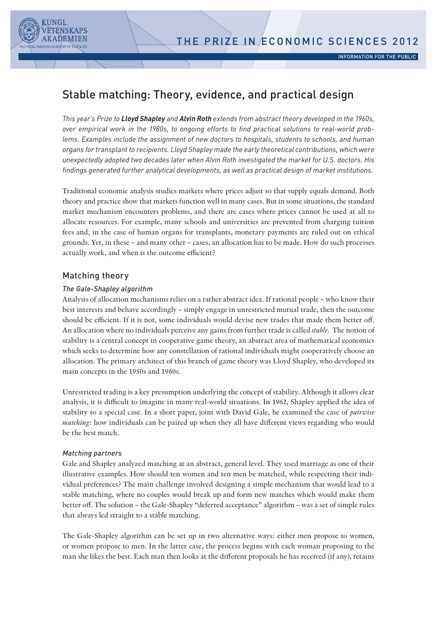INFORMATION FOR THE PUBLIC

# Stable matching: Theory, evidence, and practical design

*This year's Prize to Lloyd Shapley and Alvin Roth extends from abstract theory developed in the 1960s, over empirical work in the 1980s, to ongoing efforts to find practical solutions to real-world problems. Examples include the assignment of new doctors to hospitals, students to schools, and human organs for transplant to recipients. Lloyd Shapley made the early theoretical contributions, which were unexpectedly adopted two decades later when Alvin Roth investigated the market for U.S. doctors. His findings generated further analytical developments, as well as practical design of market institutions.*

Traditional economic analysis studies markets where prices adjust so that supply equals demand. Both theory and practice show that markets function well in many cases. But in some situations, the standard market mechanism encounters problems, and there are cases where prices cannot be used at all to allocate resources. For example, many schools and universities are prevented from charging tuition fees and, in the case of human organs for transplants, monetary payments are ruled out on ethical grounds. Yet, in these – and many other – cases, an allocation has to be made. How do such processes actually work, and when is the outcome efficient?

## Matching theory

## *The Gale-Shapley algorithm*

Analysis of allocation mechanisms relies on a rather abstract idea. If rational people – who know their best interests and behave accordingly – simply engage in unrestricted mutual trade, then the outcome should be efficient. If it is not, some individuals would devise new trades that made them better off. An allocation where no individuals perceive any gains from further trade is called *stable.* The notion of stability is a central concept in cooperative game theory, an abstract area of mathematical economics which seeks to determine how any constellation of rational individuals might cooperatively choose an allocation. The primary architect of this branch of game theory was Lloyd Shapley, who developed its main concepts in the 1950s and 1960s.

Unrestricted trading is a key presumption underlying the concept of stability. Although it allows clear analysis, it is difficult to imagine in many real-world situations. In 1962, Shapley applied the idea of stability to a special case. In a short paper, joint with David Gale, he examined the case of *pairwise matching*: how individuals can be paired up when they all have different views regarding who would be the best match.

## *Matching partners*

Gale and Shapley analyzed matching at an abstract, general level. They used marriage as one of their illustrative examples. How should ten women and ten men be matched, while respecting their individual preferences? The main challenge involved designing a simple mechanism that would lead to a stable matching, where no couples would break up and form new matches which would make them better off. The solution – the Gale-Shapley "deferred acceptance" algorithm – was a set of simple rules that always led straight to a stable matching.

The Gale-Shapley algorithm can be set up in two alternative ways: either men propose to women, or women propose to men. In the latter case, the process begins with each woman proposing to the man she likes the best. Each man then looks at the different proposals he has received (if any), retains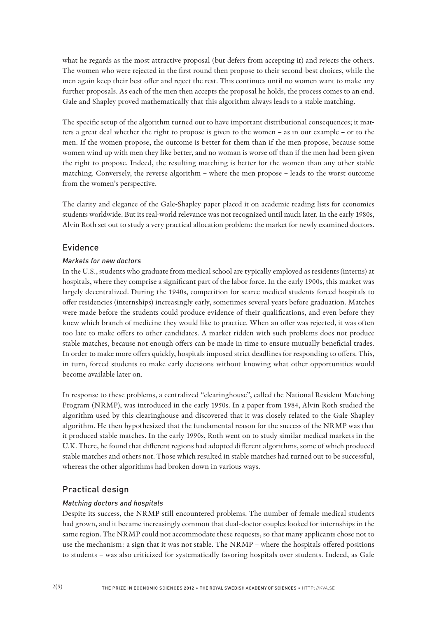what he regards as the most attractive proposal (but defers from accepting it) and rejects the others. The women who were rejected in the first round then propose to their second-best choices, while the men again keep their best offer and reject the rest. This continues until no women want to make any further proposals. As each of the men then accepts the proposal he holds, the process comes to an end. Gale and Shapley proved mathematically that this algorithm always leads to a stable matching.

The specific setup of the algorithm turned out to have important distributional consequences; it matters a great deal whether the right to propose is given to the women – as in our example – or to the men. If the women propose, the outcome is better for them than if the men propose, because some women wind up with men they like better, and no woman is worse off than if the men had been given the right to propose. Indeed, the resulting matching is better for the women than any other stable matching. Conversely, the reverse algorithm – where the men propose – leads to the worst outcome from the women's perspective.

The clarity and elegance of the Gale-Shapley paper placed it on academic reading lists for economics students worldwide. But its real-world relevance was not recognized until much later. In the early 1980s, Alvin Roth set out to study a very practical allocation problem: the market for newly examined doctors.

## Evidence

## *Markets for new doctors*

In the U.S., students who graduate from medical school are typically employed as residents (interns) at hospitals, where they comprise a significant part of the labor force. In the early 1900s, this market was largely decentralized. During the 1940s, competition for scarce medical students forced hospitals to offer residencies (internships) increasingly early, sometimes several years before graduation. Matches were made before the students could produce evidence of their qualifications, and even before they knew which branch of medicine they would like to practice. When an offer was rejected, it was often too late to make offers to other candidates. A market ridden with such problems does not produce stable matches, because not enough offers can be made in time to ensure mutually beneficial trades. In order to make more offers quickly, hospitals imposed strict deadlines for responding to offers. This, in turn, forced students to make early decisions without knowing what other opportunities would become available later on.

In response to these problems, a centralized "clearinghouse", called the National Resident Matching Program (NRMP), was introduced in the early 1950s. In a paper from 1984, Alvin Roth studied the algorithm used by this clearinghouse and discovered that it was closely related to the Gale-Shapley algorithm. He then hypothesized that the fundamental reason for the success of the NRMP was that it produced stable matches. In the early 1990s, Roth went on to study similar medical markets in the U.K. There, he found that different regions had adopted different algorithms, some of which produced stable matches and others not. Those which resulted in stable matches had turned out to be successful, whereas the other algorithms had broken down in various ways.

## Practical design

## *Matching doctors and hospitals*

Despite its success, the NRMP still encountered problems. The number of female medical students had grown, and it became increasingly common that dual-doctor couples looked for internships in the same region. The NRMP could not accommodate these requests, so that many applicants chose not to use the mechanism: a sign that it was not stable. The NRMP – where the hospitals offered positions to students – was also criticized for systematically favoring hospitals over students. Indeed, as Gale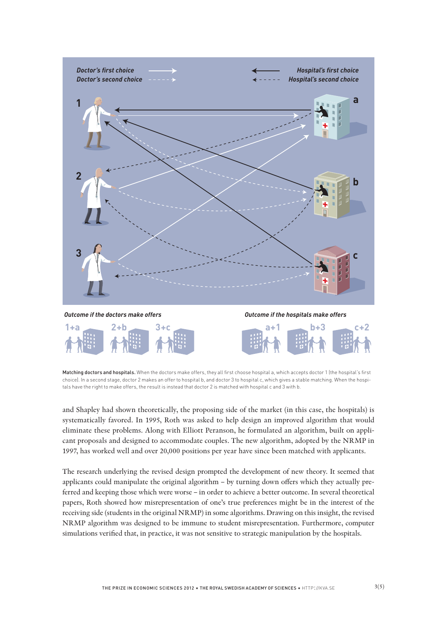

Matching doctors and hospitals. When the doctors make offers, they all first choose hospital a, which accepts doctor 1 (the hospital's first choice). In a second stage, doctor 2 makes an offer to hospital b, and doctor 3 to hospital c, which gives a stable matching. When the hospitals have the right to make offers, the result is instead that doctor 2 is matched with hospital c and 3 with b.

and Shapley had shown theoretically, the proposing side of the market (in this case, the hospitals) is systematically favored. In 1995, Roth was asked to help design an improved algorithm that would eliminate these problems. Along with Elliott Peranson, he formulated an algorithm, built on applicant proposals and designed to accommodate couples. The new algorithm, adopted by the NRMP in 1997, has worked well and over 20,000 positions per year have since been matched with applicants.

The research underlying the revised design prompted the development of new theory. It seemed that applicants could manipulate the original algorithm – by turning down offers which they actually preferred and keeping those which were worse – in order to achieve a better outcome. In several theoretical papers, Roth showed how misrepresentation of one's true preferences might be in the interest of the receiving side (students in the original NRMP) in some algorithms. Drawing on this insight, the revised NRMP algorithm was designed to be immune to student misrepresentation. Furthermore, computer simulations verified that, in practice, it was not sensitive to strategic manipulation by the hospitals.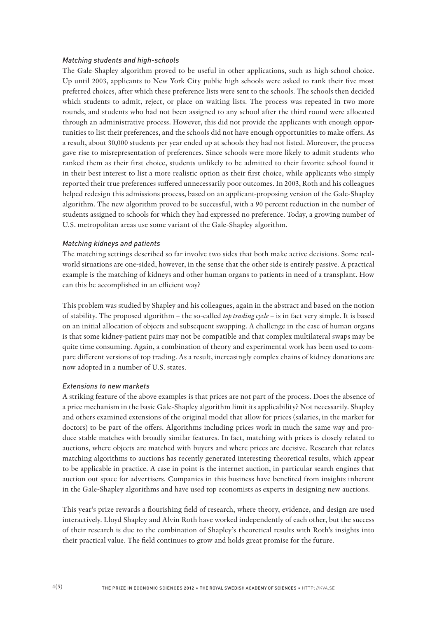#### *Matching students and high-schools*

The Gale-Shapley algorithm proved to be useful in other applications, such as high-school choice. Up until 2003, applicants to New York City public high schools were asked to rank their five most preferred choices, after which these preference lists were sent to the schools. The schools then decided which students to admit, reject, or place on waiting lists. The process was repeated in two more rounds, and students who had not been assigned to any school after the third round were allocated through an administrative process. However, this did not provide the applicants with enough opportunities to list their preferences, and the schools did not have enough opportunities to make offers. As a result, about 30,000 students per year ended up at schools they had not listed. Moreover, the process gave rise to misrepresentation of preferences. Since schools were more likely to admit students who ranked them as their first choice, students unlikely to be admitted to their favorite school found it in their best interest to list a more realistic option as their first choice, while applicants who simply reported their true preferences suffered unnecessarily poor outcomes. In 2003, Roth and his colleagues helped redesign this admissions process, based on an applicant-proposing version of the Gale-Shapley algorithm. The new algorithm proved to be successful, with a 90 percent reduction in the number of students assigned to schools for which they had expressed no preference. Today, a growing number of U.S. metropolitan areas use some variant of the Gale-Shapley algorithm.

#### *Matching kidneys and patients*

The matching settings described so far involve two sides that both make active decisions. Some realworld situations are one-sided, however, in the sense that the other side is entirely passive. A practical example is the matching of kidneys and other human organs to patients in need of a transplant. How can this be accomplished in an efficient way?

This problem was studied by Shapley and his colleagues, again in the abstract and based on the notion of stability. The proposed algorithm – the so-called *top trading cycle* – is in fact very simple. It is based on an initial allocation of objects and subsequent swapping. A challenge in the case of human organs is that some kidney-patient pairs may not be compatible and that complex multilateral swaps may be quite time consuming. Again, a combination of theory and experimental work has been used to compare different versions of top trading. As a result, increasingly complex chains of kidney donations are now adopted in a number of U.S. states.

#### *Extensions to new markets*

A striking feature of the above examples is that prices are not part of the process. Does the absence of a price mechanism in the basic Gale-Shapley algorithm limit its applicability? Not necessarily. Shapley and others examined extensions of the original model that allow for prices (salaries, in the market for doctors) to be part of the offers. Algorithms including prices work in much the same way and produce stable matches with broadly similar features. In fact, matching with prices is closely related to auctions, where objects are matched with buyers and where prices are decisive. Research that relates matching algorithms to auctions has recently generated interesting theoretical results, which appear to be applicable in practice. A case in point is the internet auction, in particular search engines that auction out space for advertisers. Companies in this business have benefited from insights inherent in the Gale-Shapley algorithms and have used top economists as experts in designing new auctions.

This year's prize rewards a flourishing field of research, where theory, evidence, and design are used interactively. Lloyd Shapley and Alvin Roth have worked independently of each other, but the success of their research is due to the combination of Shapley's theoretical results with Roth's insights into their practical value. The field continues to grow and holds great promise for the future.